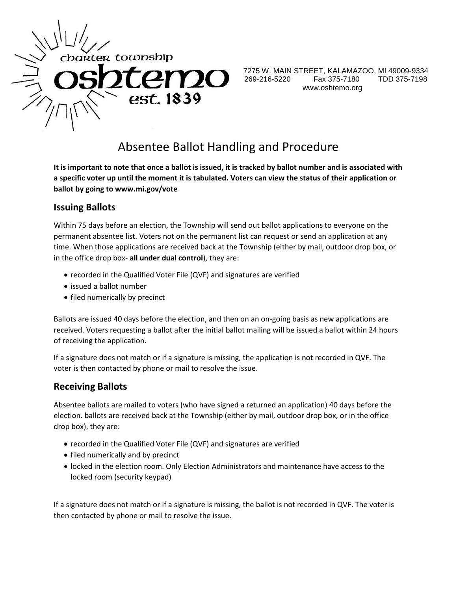

7275 W. MAIN STREET, KALAMAZOO, MI 49009-9334 269-216-5220 Fax 375-7180 TDD 375-7198 www.oshtemo.org

# Absentee Ballot Handling and Procedure

**It is important to note that once a ballot is issued, it is tracked by ballot number and is associated with a specific voter up until the moment it is tabulated. Voters can view the status of their application or ballot by going to www.mi.gov/vote**

#### **Issuing Ballots**

Within 75 days before an election, the Township will send out ballot applications to everyone on the permanent absentee list. Voters not on the permanent list can request or send an application at any time. When those applications are received back at the Township (either by mail, outdoor drop box, or in the office drop box- **all under dual control**), they are:

- recorded in the Qualified Voter File (QVF) and signatures are verified
- issued a ballot number
- filed numerically by precinct

Ballots are issued 40 days before the election, and then on an on-going basis as new applications are received. Voters requesting a ballot after the initial ballot mailing will be issued a ballot within 24 hours of receiving the application.

If a signature does not match or if a signature is missing, the application is not recorded in QVF. The voter is then contacted by phone or mail to resolve the issue.

#### **Receiving Ballots**

Absentee ballots are mailed to voters (who have signed a returned an application) 40 days before the election. ballots are received back at the Township (either by mail, outdoor drop box, or in the office drop box), they are:

- recorded in the Qualified Voter File (QVF) and signatures are verified
- filed numerically and by precinct
- locked in the election room. Only Election Administrators and maintenance have access to the locked room (security keypad)

If a signature does not match or if a signature is missing, the ballot is not recorded in QVF. The voter is then contacted by phone or mail to resolve the issue.